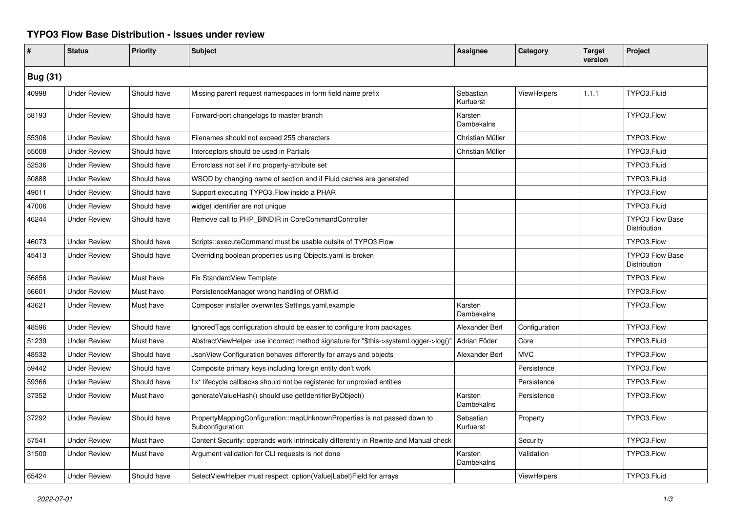## **TYPO3 Flow Base Distribution - Issues under review**

| #               | <b>Status</b>       | Priority    | <b>Subject</b>                                                                               | <b>Assignee</b>              | Category           | <b>Target</b><br>version | Project                                |
|-----------------|---------------------|-------------|----------------------------------------------------------------------------------------------|------------------------------|--------------------|--------------------------|----------------------------------------|
| <b>Bug (31)</b> |                     |             |                                                                                              |                              |                    |                          |                                        |
| 40998           | <b>Under Review</b> | Should have | Missing parent request namespaces in form field name prefix                                  | Sebastian<br>Kurfuerst       | ViewHelpers        | 1.1.1                    | TYPO3.Fluid                            |
| 58193           | <b>Under Review</b> | Should have | Forward-port changelogs to master branch                                                     | Karsten<br>Dambekalns        |                    |                          | TYPO3.Flow                             |
| 55306           | <b>Under Review</b> | Should have | Filenames should not exceed 255 characters                                                   | Christian Müller             |                    |                          | TYPO3.Flow                             |
| 55008           | <b>Under Review</b> | Should have | Interceptors should be used in Partials                                                      | Christian Müller             |                    |                          | TYPO3.Fluid                            |
| 52536           | <b>Under Review</b> | Should have | Errorclass not set if no property-attribute set                                              |                              |                    |                          | TYPO3.Fluid                            |
| 50888           | <b>Under Review</b> | Should have | WSOD by changing name of section and if Fluid caches are generated                           |                              |                    |                          | TYPO3.Fluid                            |
| 49011           | <b>Under Review</b> | Should have | Support executing TYPO3.Flow inside a PHAR                                                   |                              |                    |                          | TYPO3.Flow                             |
| 47006           | <b>Under Review</b> | Should have | widget identifier are not unique                                                             |                              |                    |                          | TYPO3.Fluid                            |
| 46244           | <b>Under Review</b> | Should have | Remove call to PHP_BINDIR in CoreCommandController                                           |                              |                    |                          | <b>TYPO3 Flow Base</b><br>Distribution |
| 46073           | <b>Under Review</b> | Should have | Scripts::executeCommand must be usable outsite of TYPO3.Flow                                 |                              |                    |                          | TYPO3.Flow                             |
| 45413           | <b>Under Review</b> | Should have | Overriding boolean properties using Objects yaml is broken                                   |                              |                    |                          | <b>TYPO3 Flow Base</b><br>Distribution |
| 56856           | <b>Under Review</b> | Must have   | Fix StandardView Template                                                                    |                              |                    |                          | TYPO3.Flow                             |
| 56601           | <b>Under Review</b> | Must have   | PersistenceManager wrong handling of ORM\ld                                                  |                              |                    |                          | TYPO3.Flow                             |
| 43621           | <b>Under Review</b> | Must have   | Composer installer overwrites Settings.yaml.example                                          | Karsten<br>Dambekalns        |                    |                          | TYPO3.Flow                             |
| 48596           | <b>Under Review</b> | Should have | IgnoredTags configuration should be easier to configure from packages                        | Alexander Berl               | Configuration      |                          | TYPO3.Flow                             |
| 51239           | <b>Under Review</b> | Must have   | AbstractViewHelper use incorrect method signature for "\$this->systemLogger->log()'          | Adrian Föder                 | Core               |                          | TYPO3.Fluid                            |
| 48532           | <b>Under Review</b> | Should have | JsonView Configuration behaves differently for arrays and objects                            | Alexander Berl               | <b>MVC</b>         |                          | TYPO3.Flow                             |
| 59442           | <b>Under Review</b> | Should have | Composite primary keys including foreign entity don't work                                   |                              | Persistence        |                          | TYPO3.Flow                             |
| 59366           | <b>Under Review</b> | Should have | fix* lifecycle callbacks should not be registered for unproxied entities                     |                              | Persistence        |                          | TYPO3.Flow                             |
| 37352           | <b>Under Review</b> | Must have   | generateValueHash() should use getIdentifierByObject()                                       | Karsten<br><b>Dambekalns</b> | Persistence        |                          | TYPO3.Flow                             |
| 37292           | <b>Under Review</b> | Should have | PropertyMappingConfiguration::mapUnknownProperties is not passed down to<br>Subconfiguration | Sebastian<br>Kurfuerst       | Property           |                          | TYPO3.Flow                             |
| 57541           | <b>Under Review</b> | Must have   | Content Security: operands work intrinsically differently in Rewrite and Manual check        |                              | Security           |                          | TYPO3.Flow                             |
| 31500           | <b>Under Review</b> | Must have   | Argument validation for CLI requests is not done                                             | Karsten<br>Dambekalns        | Validation         |                          | TYPO3.Flow                             |
| 65424           | <b>Under Review</b> | Should have | SelectViewHelper must respect option(Value Label)Field for arrays                            |                              | <b>ViewHelpers</b> |                          | TYPO3.Fluid                            |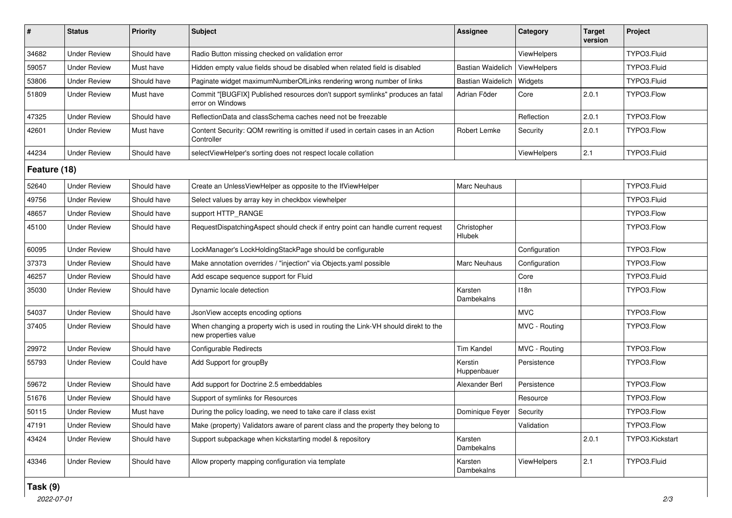| $\#$         | <b>Status</b>       | <b>Priority</b> | <b>Subject</b>                                                                                            | <b>Assignee</b>        | Category           | Target<br>version | Project         |  |
|--------------|---------------------|-----------------|-----------------------------------------------------------------------------------------------------------|------------------------|--------------------|-------------------|-----------------|--|
| 34682        | <b>Under Review</b> | Should have     | Radio Button missing checked on validation error                                                          |                        | <b>ViewHelpers</b> |                   | TYPO3.Fluid     |  |
| 59057        | <b>Under Review</b> | Must have       | Hidden empty value fields shoud be disabled when related field is disabled                                | Bastian Waidelich      | ViewHelpers        |                   | TYPO3.Fluid     |  |
| 53806        | <b>Under Review</b> | Should have     | Paginate widget maximumNumberOfLinks rendering wrong number of links                                      | Bastian Waidelich      | Widgets            |                   | TYPO3.Fluid     |  |
| 51809        | <b>Under Review</b> | Must have       | Commit "[BUGFIX] Published resources don't support symlinks" produces an fatal<br>error on Windows        | Adrian Föder           | Core               | 2.0.1             | TYPO3.Flow      |  |
| 47325        | <b>Under Review</b> | Should have     | ReflectionData and classSchema caches need not be freezable                                               |                        | Reflection         | 2.0.1             | TYPO3.Flow      |  |
| 42601        | <b>Under Review</b> | Must have       | Content Security: QOM rewriting is omitted if used in certain cases in an Action<br>Controller            | Robert Lemke           | Security           | 2.0.1             | TYPO3.Flow      |  |
| 44234        | <b>Under Review</b> | Should have     | selectViewHelper's sorting does not respect locale collation                                              |                        | <b>ViewHelpers</b> | 2.1               | TYPO3.Fluid     |  |
| Feature (18) |                     |                 |                                                                                                           |                        |                    |                   |                 |  |
| 52640        | <b>Under Review</b> | Should have     | Create an UnlessViewHelper as opposite to the IfViewHelper                                                | Marc Neuhaus           |                    |                   | TYPO3.Fluid     |  |
| 49756        | <b>Under Review</b> | Should have     | Select values by array key in checkbox viewhelper                                                         |                        |                    |                   | TYPO3.Fluid     |  |
| 48657        | <b>Under Review</b> | Should have     | support HTTP_RANGE                                                                                        |                        |                    |                   | TYPO3.Flow      |  |
| 45100        | <b>Under Review</b> | Should have     | RequestDispatchingAspect should check if entry point can handle current request                           | Christopher<br>Hlubek  |                    |                   | TYPO3.Flow      |  |
| 60095        | <b>Under Review</b> | Should have     | LockManager's LockHoldingStackPage should be configurable                                                 |                        | Configuration      |                   | TYPO3.Flow      |  |
| 37373        | <b>Under Review</b> | Should have     | Make annotation overrides / "injection" via Objects.yaml possible                                         | Marc Neuhaus           | Configuration      |                   | TYPO3.Flow      |  |
| 46257        | <b>Under Review</b> | Should have     | Add escape sequence support for Fluid                                                                     |                        | Core               |                   | TYPO3.Fluid     |  |
| 35030        | <b>Under Review</b> | Should have     | Dynamic locale detection                                                                                  | Karsten<br>Dambekalns  | 118n               |                   | TYPO3.Flow      |  |
| 54037        | <b>Under Review</b> | Should have     | JsonView accepts encoding options                                                                         |                        | <b>MVC</b>         |                   | TYPO3.Flow      |  |
| 37405        | <b>Under Review</b> | Should have     | When changing a property wich is used in routing the Link-VH should direkt to the<br>new properties value |                        | MVC - Routing      |                   | TYPO3.Flow      |  |
| 29972        | <b>Under Review</b> | Should have     | Configurable Redirects                                                                                    | <b>Tim Kandel</b>      | MVC - Routing      |                   | TYPO3.Flow      |  |
| 55793        | <b>Under Review</b> | Could have      | Add Support for groupBy                                                                                   | Kerstin<br>Huppenbauer | Persistence        |                   | TYPO3.Flow      |  |
| 59672        | <b>Under Review</b> | Should have     | Add support for Doctrine 2.5 embeddables                                                                  | Alexander Berl         | Persistence        |                   | TYPO3.Flow      |  |
| 51676        | <b>Under Review</b> | Should have     | Support of symlinks for Resources                                                                         |                        | Resource           |                   | TYPO3.Flow      |  |
| 50115        | <b>Under Review</b> | Must have       | During the policy loading, we need to take care if class exist                                            | Dominique Feyer        | Security           |                   | TYPO3.Flow      |  |
| 47191        | <b>Under Review</b> | Should have     | Make (property) Validators aware of parent class and the property they belong to                          |                        | Validation         |                   | TYPO3.Flow      |  |
| 43424        | <b>Under Review</b> | Should have     | Support subpackage when kickstarting model & repository                                                   | Karsten<br>Dambekalns  |                    | 2.0.1             | TYPO3.Kickstart |  |
| 43346        | <b>Under Review</b> | Should have     | Allow property mapping configuration via template                                                         | Karsten<br>Dambekalns  | ViewHelpers        | 2.1               | TYPO3.Fluid     |  |